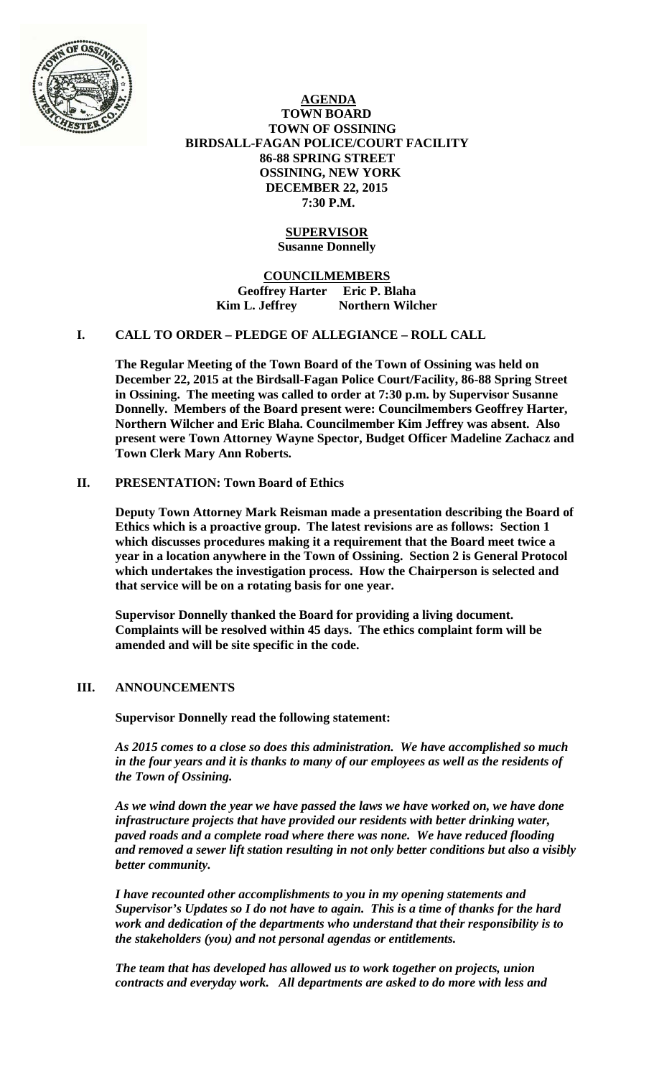

 **AGENDA TOWN BOARD TOWN OF OSSINING BIRDSALL-FAGAN POLICE/COURT FACILITY 86-88 SPRING STREET OSSINING, NEW YORK DECEMBER 22, 2015 7:30 P.M.** 

## **SUPERVISOR Susanne Donnelly**

**COUNCILMEMBERS Geoffrey Harter Eric P. Blaha**  Kim L. Jeffrey **Northern Wilcher** 

### **I. CALL TO ORDER – PLEDGE OF ALLEGIANCE – ROLL CALL**

**The Regular Meeting of the Town Board of the Town of Ossining was held on December 22, 2015 at the Birdsall-Fagan Police Court/Facility, 86-88 Spring Street in Ossining. The meeting was called to order at 7:30 p.m. by Supervisor Susanne Donnelly. Members of the Board present were: Councilmembers Geoffrey Harter, Northern Wilcher and Eric Blaha. Councilmember Kim Jeffrey was absent. Also present were Town Attorney Wayne Spector, Budget Officer Madeline Zachacz and Town Clerk Mary Ann Roberts.** 

## **II. PRESENTATION: Town Board of Ethics**

**Deputy Town Attorney Mark Reisman made a presentation describing the Board of Ethics which is a proactive group. The latest revisions are as follows: Section 1 which discusses procedures making it a requirement that the Board meet twice a year in a location anywhere in the Town of Ossining. Section 2 is General Protocol which undertakes the investigation process. How the Chairperson is selected and that service will be on a rotating basis for one year.** 

**Supervisor Donnelly thanked the Board for providing a living document. Complaints will be resolved within 45 days. The ethics complaint form will be amended and will be site specific in the code.** 

## **III. ANNOUNCEMENTS**

**Supervisor Donnelly read the following statement:** 

*As 2015 comes to a close so does this administration. We have accomplished so much in the four years and it is thanks to many of our employees as well as the residents of the Town of Ossining.* 

*As we wind down the year we have passed the laws we have worked on, we have done infrastructure projects that have provided our residents with better drinking water, paved roads and a complete road where there was none. We have reduced flooding and removed a sewer lift station resulting in not only better conditions but also a visibly better community.* 

*I have recounted other accomplishments to you in my opening statements and Supervisor's Updates so I do not have to again. This is a time of thanks for the hard work and dedication of the departments who understand that their responsibility is to the stakeholders (you) and not personal agendas or entitlements.* 

*The team that has developed has allowed us to work together on projects, union contracts and everyday work. All departments are asked to do more with less and*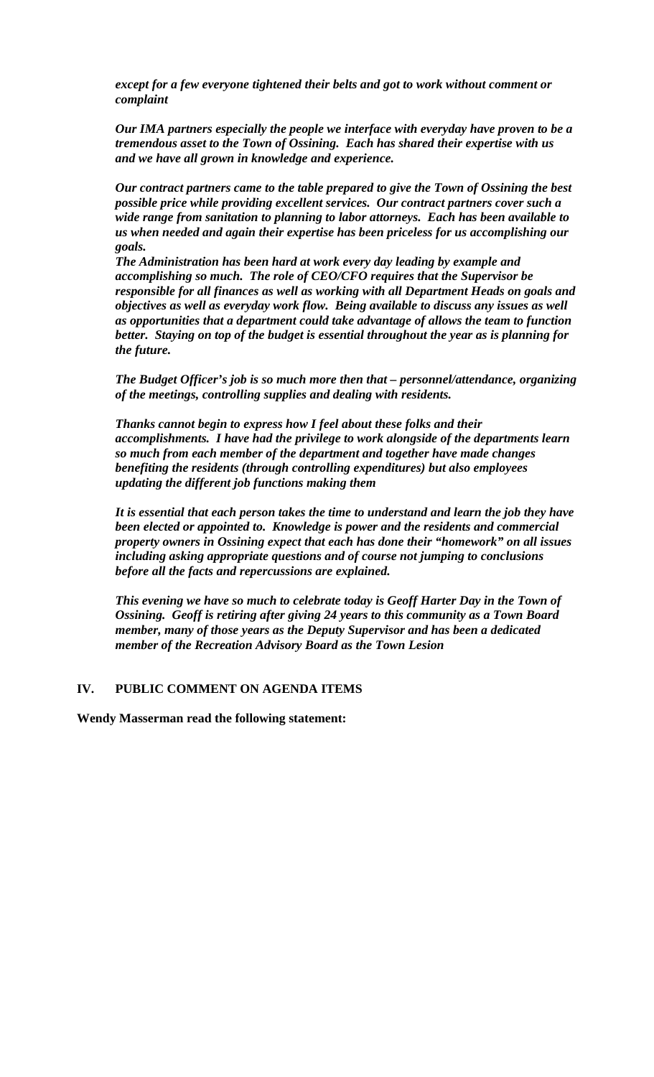*except for a few everyone tightened their belts and got to work without comment or complaint* 

*Our IMA partners especially the people we interface with everyday have proven to be a tremendous asset to the Town of Ossining. Each has shared their expertise with us and we have all grown in knowledge and experience.* 

*Our contract partners came to the table prepared to give the Town of Ossining the best possible price while providing excellent services. Our contract partners cover such a wide range from sanitation to planning to labor attorneys. Each has been available to us when needed and again their expertise has been priceless for us accomplishing our goals.* 

*The Administration has been hard at work every day leading by example and accomplishing so much. The role of CEO/CFO requires that the Supervisor be responsible for all finances as well as working with all Department Heads on goals and objectives as well as everyday work flow. Being available to discuss any issues as well as opportunities that a department could take advantage of allows the team to function better. Staying on top of the budget is essential throughout the year as is planning for the future.* 

*The Budget Officer's job is so much more then that – personnel/attendance, organizing of the meetings, controlling supplies and dealing with residents.* 

*Thanks cannot begin to express how I feel about these folks and their accomplishments. I have had the privilege to work alongside of the departments learn so much from each member of the department and together have made changes benefiting the residents (through controlling expenditures) but also employees updating the different job functions making them* 

*It is essential that each person takes the time to understand and learn the job they have been elected or appointed to. Knowledge is power and the residents and commercial property owners in Ossining expect that each has done their "homework" on all issues including asking appropriate questions and of course not jumping to conclusions before all the facts and repercussions are explained.* 

*This evening we have so much to celebrate today is Geoff Harter Day in the Town of Ossining. Geoff is retiring after giving 24 years to this community as a Town Board member, many of those years as the Deputy Supervisor and has been a dedicated member of the Recreation Advisory Board as the Town Lesion* 

#### **IV. PUBLIC COMMENT ON AGENDA ITEMS**

**Wendy Masserman read the following statement:**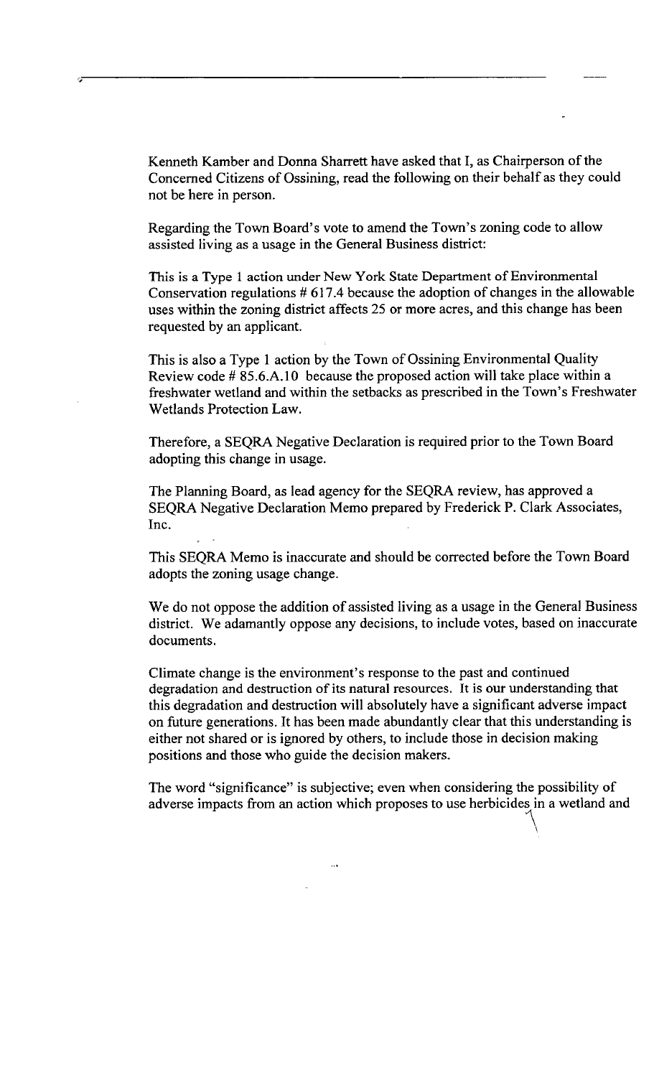Kenneth Kamber and Donna Sharrett have asked that I, as Chairperson of the Concerned Citizens of Ossining, read the following on their behalf as they could not be here in person.

Regarding the Town Board's vote to amend the Town's zoning code to allow assisted living as a usage in the General Business district:

This is a Type 1 action under New York State Department of Environmental Conservation regulations  $# 617.4$  because the adoption of changes in the allowable uses within the zoning district affects 25 or more acres, and this change has been requested by an applicant.

This is also a Type 1 action by the Town of Ossining Environmental Quality Review code # 85.6.A.10 because the proposed action will take place within a freshwater wetland and within the setbacks as prescribed in the Town's Freshwater Wetlands Protection Law.

Therefore, a SEQRA Negative Declaration is required prior to the Town Board adopting this change in usage.

The Planning Board, as lead agency for the SEQRA review, has approved a SEQRA Negative Declaration Memo prepared by Frederick P. Clark Associates, Inc.

This SEQRA Memo is inaccurate and should be corrected before the Town Board adopts the zoning usage change.

We do not oppose the addition of assisted living as a usage in the General Business district. We adamantly oppose any decisions, to include votes, based on inaccurate documents.

Climate change is the environment's response to the past and continued degradation and destruction of its natural resources. It is our understanding that this degradation and destruction will absolutely have a significant adverse impact on future generations. It has been made abundantly clear that this understanding is either not shared or is ignored by others, to include those in decision making positions and those who guide the decision makers.

The word "significance" is subjective; even when considering the possibility of adverse impacts from an action which proposes to use herbicides in a wetland and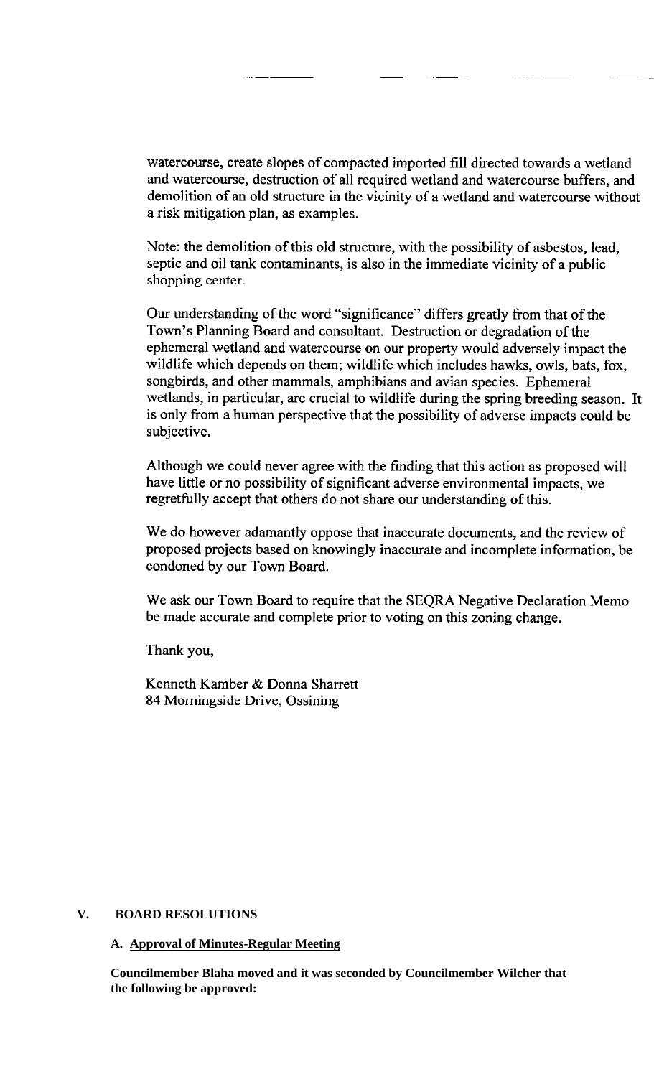watercourse, create slopes of compacted imported fill directed towards a wetland and watercourse, destruction of all required wetland and watercourse buffers, and demolition of an old structure in the vicinity of a wetland and watercourse without a risk mitigation plan, as examples.

Note: the demolition of this old structure, with the possibility of asbestos, lead, septic and oil tank contaminants, is also in the immediate vicinity of a public shopping center.

Our understanding of the word "significance" differs greatly from that of the Town's Planning Board and consultant. Destruction or degradation of the ephemeral wetland and watercourse on our property would adversely impact the wildlife which depends on them; wildlife which includes hawks, owls, bats, fox, songbirds, and other mammals, amphibians and avian species. Ephemeral wetlands, in particular, are crucial to wildlife during the spring breeding season. It is only from a human perspective that the possibility of adverse impacts could be subjective.

Although we could never agree with the finding that this action as proposed will have little or no possibility of significant adverse environmental impacts, we regretfully accept that others do not share our understanding of this.

We do however adamantly oppose that inaccurate documents, and the review of proposed projects based on knowingly inaccurate and incomplete information, be condoned by our Town Board.

We ask our Town Board to require that the SEQRA Negative Declaration Memo be made accurate and complete prior to voting on this zoning change.

Thank you,

Kenneth Kamber & Donna Sharrett 84 Morningside Drive, Ossining

## **V. BOARD RESOLUTIONS**

#### **A. Approval of Minutes-Regular Meeting**

**Councilmember Blaha moved and it was seconded by Councilmember Wilcher that the following be approved:**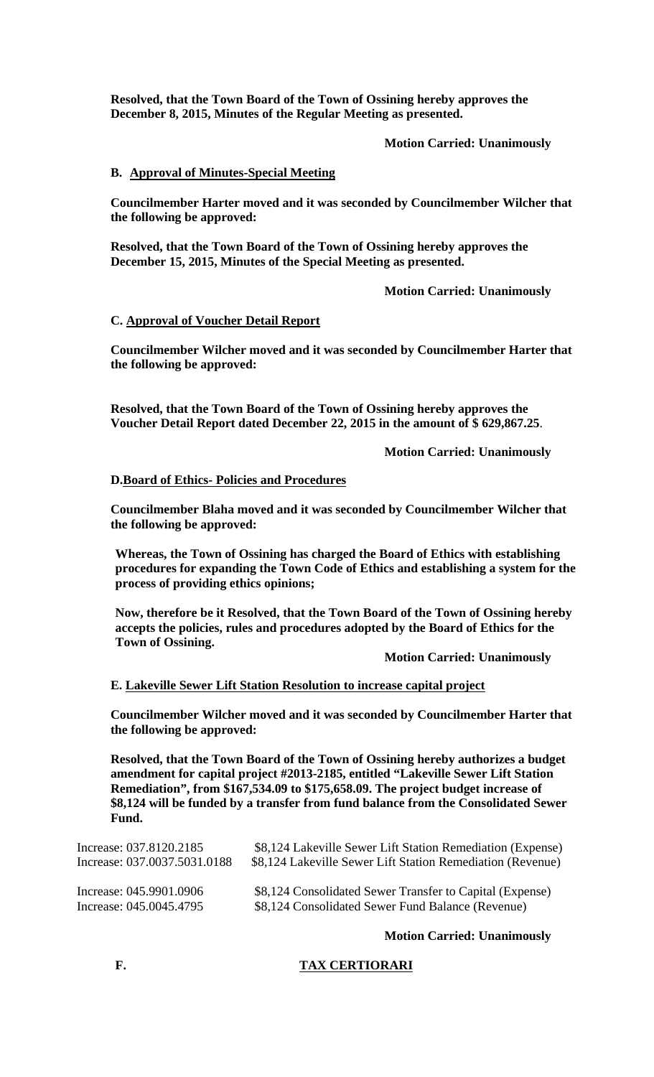**Resolved, that the Town Board of the Town of Ossining hereby approves the December 8, 2015, Minutes of the Regular Meeting as presented.** 

 **Motion Carried: Unanimously** 

## **B. Approval of Minutes-Special Meeting**

**Councilmember Harter moved and it was seconded by Councilmember Wilcher that the following be approved:** 

**Resolved, that the Town Board of the Town of Ossining hereby approves the December 15, 2015, Minutes of the Special Meeting as presented.** 

 **Motion Carried: Unanimously** 

### **C. Approval of Voucher Detail Report**

**Councilmember Wilcher moved and it was seconded by Councilmember Harter that the following be approved:** 

**Resolved, that the Town Board of the Town of Ossining hereby approves the Voucher Detail Report dated December 22, 2015 in the amount of \$ 629,867.25**.

**Motion Carried: Unanimously** 

### **D.Board of Ethics- Policies and Procedures**

**Councilmember Blaha moved and it was seconded by Councilmember Wilcher that the following be approved:** 

**Whereas, the Town of Ossining has charged the Board of Ethics with establishing procedures for expanding the Town Code of Ethics and establishing a system for the process of providing ethics opinions;** 

**Now, therefore be it Resolved, that the Town Board of the Town of Ossining hereby accepts the policies, rules and procedures adopted by the Board of Ethics for the Town of Ossining.** 

 **Motion Carried: Unanimously** 

#### **E. Lakeville Sewer Lift Station Resolution to increase capital project**

**Councilmember Wilcher moved and it was seconded by Councilmember Harter that the following be approved:** 

**Resolved, that the Town Board of the Town of Ossining hereby authorizes a budget amendment for capital project #2013-2185, entitled "Lakeville Sewer Lift Station Remediation", from \$167,534.09 to \$175,658.09. The project budget increase of \$8,124 will be funded by a transfer from fund balance from the Consolidated Sewer Fund.** 

| Increase: 037.8120.2185      | \$8,124 Lakeville Sewer Lift Station Remediation (Expense) |
|------------------------------|------------------------------------------------------------|
| Increase: 037.0037.5031.0188 | \$8,124 Lakeville Sewer Lift Station Remediation (Revenue) |
| Increase: 045.9901.0906      | \$8,124 Consolidated Sewer Transfer to Capital (Expense)   |
| Increase: 045.0045.4795      | \$8,124 Consolidated Sewer Fund Balance (Revenue)          |

**Motion Carried: Unanimously** 

## **F. TAX CERTIORARI**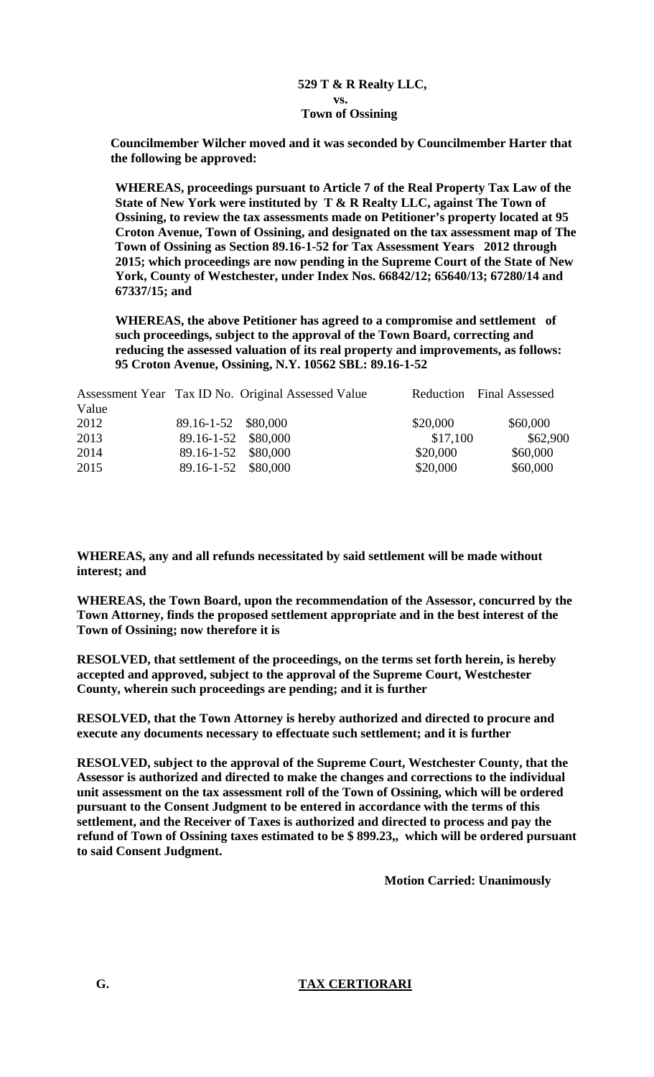# **529 T & R Realty LLC, vs. Town of Ossining**

**Councilmember Wilcher moved and it was seconded by Councilmember Harter that the following be approved:** 

**WHEREAS, proceedings pursuant to Article 7 of the Real Property Tax Law of the State of New York were instituted by T & R Realty LLC, against The Town of Ossining, to review the tax assessments made on Petitioner's property located at 95 Croton Avenue, Town of Ossining, and designated on the tax assessment map of The Town of Ossining as Section 89.16-1-52 for Tax Assessment Years 2012 through 2015; which proceedings are now pending in the Supreme Court of the State of New York, County of Westchester, under Index Nos. 66842/12; 65640/13; 67280/14 and 67337/15; and** 

**WHEREAS, the above Petitioner has agreed to a compromise and settlement of such proceedings, subject to the approval of the Town Board, correcting and reducing the assessed valuation of its real property and improvements, as follows: 95 Croton Avenue, Ossining, N.Y. 10562 SBL: 89.16-1-52** 

| Reduction Final Assessed |  |
|--------------------------|--|
|                          |  |
|                          |  |
| \$62,900                 |  |
|                          |  |
|                          |  |
|                          |  |

**WHEREAS, any and all refunds necessitated by said settlement will be made without interest; and** 

**WHEREAS, the Town Board, upon the recommendation of the Assessor, concurred by the Town Attorney, finds the proposed settlement appropriate and in the best interest of the Town of Ossining; now therefore it is** 

**RESOLVED, that settlement of the proceedings, on the terms set forth herein, is hereby accepted and approved, subject to the approval of the Supreme Court, Westchester County, wherein such proceedings are pending; and it is further** 

**RESOLVED, that the Town Attorney is hereby authorized and directed to procure and execute any documents necessary to effectuate such settlement; and it is further** 

**RESOLVED, subject to the approval of the Supreme Court, Westchester County, that the Assessor is authorized and directed to make the changes and corrections to the individual unit assessment on the tax assessment roll of the Town of Ossining, which will be ordered pursuant to the Consent Judgment to be entered in accordance with the terms of this settlement, and the Receiver of Taxes is authorized and directed to process and pay the refund of Town of Ossining taxes estimated to be \$ 899.23,, which will be ordered pursuant to said Consent Judgment.** 

 **Motion Carried: Unanimously** 

 **G. TAX CERTIORARI**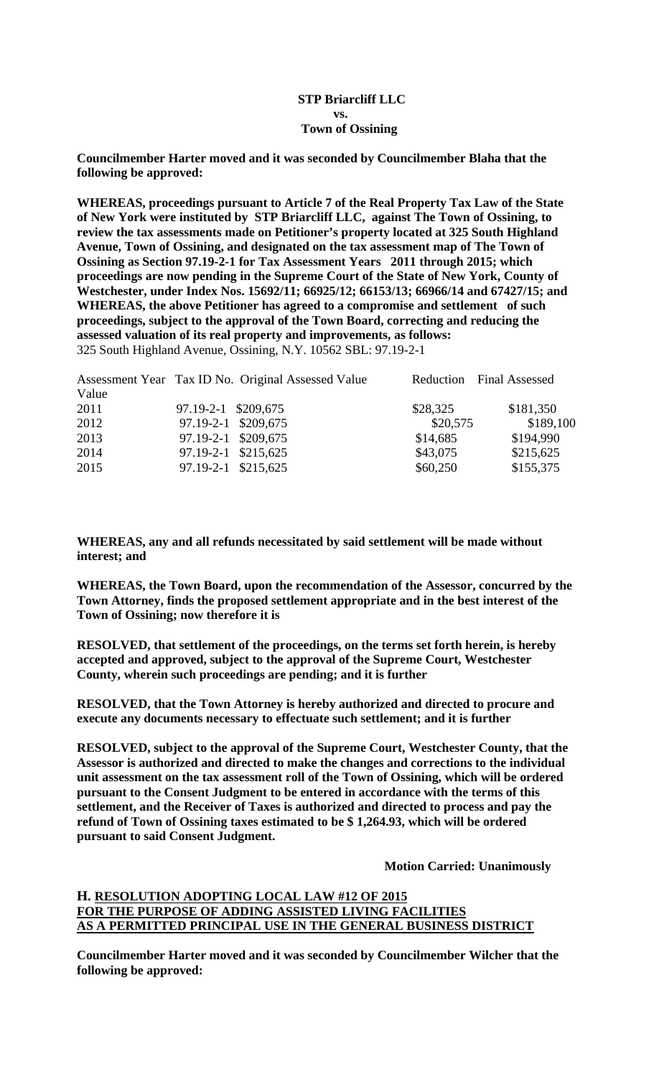## **STP Briarcliff LLC vs. Town of Ossining**

**Councilmember Harter moved and it was seconded by Councilmember Blaha that the following be approved:** 

**WHEREAS, proceedings pursuant to Article 7 of the Real Property Tax Law of the State of New York were instituted by STP Briarcliff LLC, against The Town of Ossining, to review the tax assessments made on Petitioner's property located at 325 South Highland Avenue, Town of Ossining, and designated on the tax assessment map of The Town of Ossining as Section 97.19-2-1 for Tax Assessment Years 2011 through 2015; which proceedings are now pending in the Supreme Court of the State of New York, County of Westchester, under Index Nos. 15692/11; 66925/12; 66153/13; 66966/14 and 67427/15; and WHEREAS, the above Petitioner has agreed to a compromise and settlement of such proceedings, subject to the approval of the Town Board, correcting and reducing the assessed valuation of its real property and improvements, as follows:**  325 South Highland Avenue, Ossining, N.Y. 10562 SBL: 97.19-2-1

|       | Assessment Year Tax ID No. Original Assessed Value |          | Reduction Final Assessed |
|-------|----------------------------------------------------|----------|--------------------------|
| Value |                                                    |          |                          |
| 2011  | 97.19-2-1 \$209,675                                | \$28,325 | \$181,350                |
| 2012  | 97.19-2-1 \$209,675                                | \$20,575 | \$189,100                |
| 2013  | 97.19-2-1 \$209,675                                | \$14,685 | \$194,990                |
| 2014  | 97.19-2-1 \$215,625                                | \$43,075 | \$215,625                |
| 2015  | 97.19-2-1 \$215,625                                | \$60,250 | \$155,375                |

**WHEREAS, any and all refunds necessitated by said settlement will be made without interest; and** 

**WHEREAS, the Town Board, upon the recommendation of the Assessor, concurred by the Town Attorney, finds the proposed settlement appropriate and in the best interest of the Town of Ossining; now therefore it is** 

**RESOLVED, that settlement of the proceedings, on the terms set forth herein, is hereby accepted and approved, subject to the approval of the Supreme Court, Westchester County, wherein such proceedings are pending; and it is further** 

**RESOLVED, that the Town Attorney is hereby authorized and directed to procure and execute any documents necessary to effectuate such settlement; and it is further** 

**RESOLVED, subject to the approval of the Supreme Court, Westchester County, that the Assessor is authorized and directed to make the changes and corrections to the individual unit assessment on the tax assessment roll of the Town of Ossining, which will be ordered pursuant to the Consent Judgment to be entered in accordance with the terms of this settlement, and the Receiver of Taxes is authorized and directed to process and pay the refund of Town of Ossining taxes estimated to be \$ 1,264.93, which will be ordered pursuant to said Consent Judgment.** 

**Motion Carried: Unanimously** 

# **H. RESOLUTION ADOPTING LOCAL LAW #12 OF 2015 FOR THE PURPOSE OF ADDING ASSISTED LIVING FACILITIES AS A PERMITTED PRINCIPAL USE IN THE GENERAL BUSINESS DISTRICT**

**Councilmember Harter moved and it was seconded by Councilmember Wilcher that the following be approved:**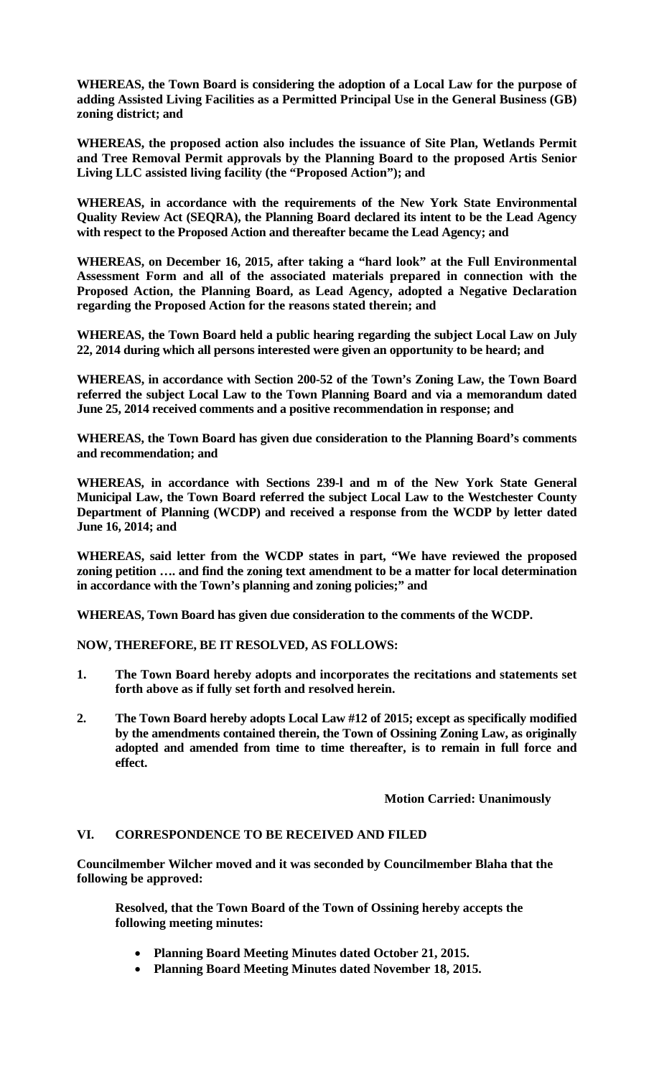**WHEREAS, the Town Board is considering the adoption of a Local Law for the purpose of adding Assisted Living Facilities as a Permitted Principal Use in the General Business (GB) zoning district; and** 

**WHEREAS, the proposed action also includes the issuance of Site Plan, Wetlands Permit and Tree Removal Permit approvals by the Planning Board to the proposed Artis Senior Living LLC assisted living facility (the "Proposed Action"); and** 

**WHEREAS, in accordance with the requirements of the New York State Environmental Quality Review Act (SEQRA), the Planning Board declared its intent to be the Lead Agency with respect to the Proposed Action and thereafter became the Lead Agency; and** 

**WHEREAS, on December 16, 2015, after taking a "hard look" at the Full Environmental Assessment Form and all of the associated materials prepared in connection with the Proposed Action, the Planning Board, as Lead Agency, adopted a Negative Declaration regarding the Proposed Action for the reasons stated therein; and** 

**WHEREAS, the Town Board held a public hearing regarding the subject Local Law on July 22, 2014 during which all persons interested were given an opportunity to be heard; and** 

**WHEREAS, in accordance with Section 200-52 of the Town's Zoning Law, the Town Board referred the subject Local Law to the Town Planning Board and via a memorandum dated June 25, 2014 received comments and a positive recommendation in response; and** 

**WHEREAS, the Town Board has given due consideration to the Planning Board's comments and recommendation; and** 

**WHEREAS, in accordance with Sections 239-l and m of the New York State General Municipal Law, the Town Board referred the subject Local Law to the Westchester County Department of Planning (WCDP) and received a response from the WCDP by letter dated June 16, 2014; and** 

**WHEREAS, said letter from the WCDP states in part, "We have reviewed the proposed zoning petition …. and find the zoning text amendment to be a matter for local determination in accordance with the Town's planning and zoning policies;" and** 

**WHEREAS, Town Board has given due consideration to the comments of the WCDP.** 

**NOW, THEREFORE, BE IT RESOLVED, AS FOLLOWS:** 

- **1. The Town Board hereby adopts and incorporates the recitations and statements set forth above as if fully set forth and resolved herein.**
- **2. The Town Board hereby adopts Local Law #12 of 2015; except as specifically modified by the amendments contained therein, the Town of Ossining Zoning Law, as originally adopted and amended from time to time thereafter, is to remain in full force and effect.**

# **Motion Carried: Unanimously**

## **VI. CORRESPONDENCE TO BE RECEIVED AND FILED**

**Councilmember Wilcher moved and it was seconded by Councilmember Blaha that the following be approved:** 

**Resolved, that the Town Board of the Town of Ossining hereby accepts the following meeting minutes:** 

- **Planning Board Meeting Minutes dated October 21, 2015.**
- **Planning Board Meeting Minutes dated November 18, 2015.**